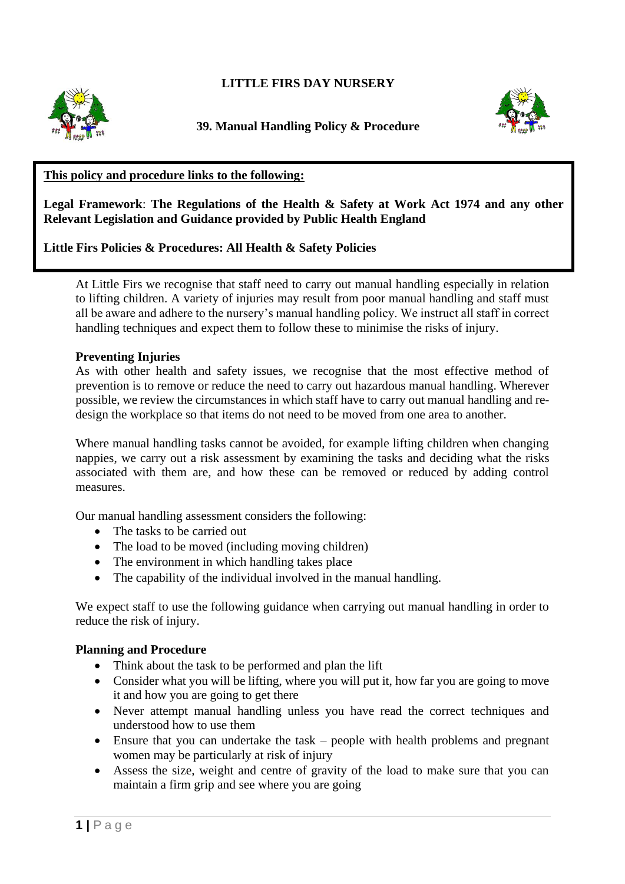# **LITTLE FIRS DAY NURSERY**







## **This policy and procedure links to the following:**

**Legal Framework**: **The Regulations of the Health & Safety at Work Act 1974 and any other Relevant Legislation and Guidance provided by Public Health England**

## **Little Firs Policies & Procedures: All Health & Safety Policies**

At Little Firs we recognise that staff need to carry out manual handling especially in relation to lifting children. A variety of injuries may result from poor manual handling and staff must all be aware and adhere to the nursery's manual handling policy. We instruct all staff in correct handling techniques and expect them to follow these to minimise the risks of injury.

#### **Preventing Injuries**

As with other health and safety issues, we recognise that the most effective method of prevention is to remove or reduce the need to carry out hazardous manual handling. Wherever possible, we review the circumstances in which staff have to carry out manual handling and redesign the workplace so that items do not need to be moved from one area to another.

Where manual handling tasks cannot be avoided, for example lifting children when changing nappies, we carry out a risk assessment by examining the tasks and deciding what the risks associated with them are, and how these can be removed or reduced by adding control measures.

Our manual handling assessment considers the following:

- The tasks to be carried out
- The load to be moved (including moving children)
- The environment in which handling takes place
- The capability of the individual involved in the manual handling.

We expect staff to use the following guidance when carrying out manual handling in order to reduce the risk of injury.

### **Planning and Procedure**

- Think about the task to be performed and plan the lift
- Consider what you will be lifting, where you will put it, how far you are going to move it and how you are going to get there
- Never attempt manual handling unless you have read the correct techniques and understood how to use them
- Ensure that you can undertake the task people with health problems and pregnant women may be particularly at risk of injury
- Assess the size, weight and centre of gravity of the load to make sure that you can maintain a firm grip and see where you are going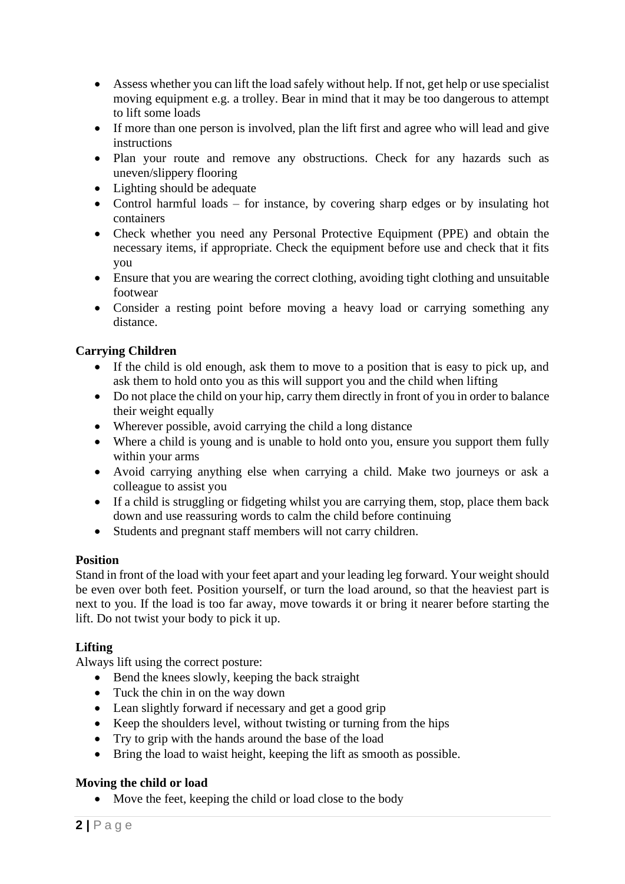- Assess whether you can lift the load safely without help. If not, get help or use specialist moving equipment e.g. a trolley. Bear in mind that it may be too dangerous to attempt to lift some loads
- If more than one person is involved, plan the lift first and agree who will lead and give instructions
- Plan your route and remove any obstructions. Check for any hazards such as uneven/slippery flooring
- Lighting should be adequate
- Control harmful loads for instance, by covering sharp edges or by insulating hot containers
- Check whether you need any Personal Protective Equipment (PPE) and obtain the necessary items, if appropriate. Check the equipment before use and check that it fits you
- Ensure that you are wearing the correct clothing, avoiding tight clothing and unsuitable footwear
- Consider a resting point before moving a heavy load or carrying something any distance.

## **Carrying Children**

- If the child is old enough, ask them to move to a position that is easy to pick up, and ask them to hold onto you as this will support you and the child when lifting
- Do not place the child on your hip, carry them directly in front of you in order to balance their weight equally
- Wherever possible, avoid carrying the child a long distance
- Where a child is young and is unable to hold onto you, ensure you support them fully within your arms
- Avoid carrying anything else when carrying a child. Make two journeys or ask a colleague to assist you
- If a child is struggling or fidgeting whilst you are carrying them, stop, place them back down and use reassuring words to calm the child before continuing
- Students and pregnant staff members will not carry children.

### **Position**

Stand in front of the load with your feet apart and your leading leg forward. Your weight should be even over both feet. Position yourself, or turn the load around, so that the heaviest part is next to you. If the load is too far away, move towards it or bring it nearer before starting the lift. Do not twist your body to pick it up.

### **Lifting**

Always lift using the correct posture:

- Bend the knees slowly, keeping the back straight
- Tuck the chin in on the way down
- Lean slightly forward if necessary and get a good grip
- Keep the shoulders level, without twisting or turning from the hips
- Try to grip with the hands around the base of the load
- Bring the load to waist height, keeping the lift as smooth as possible.

# **Moving the child or load**

• Move the feet, keeping the child or load close to the body